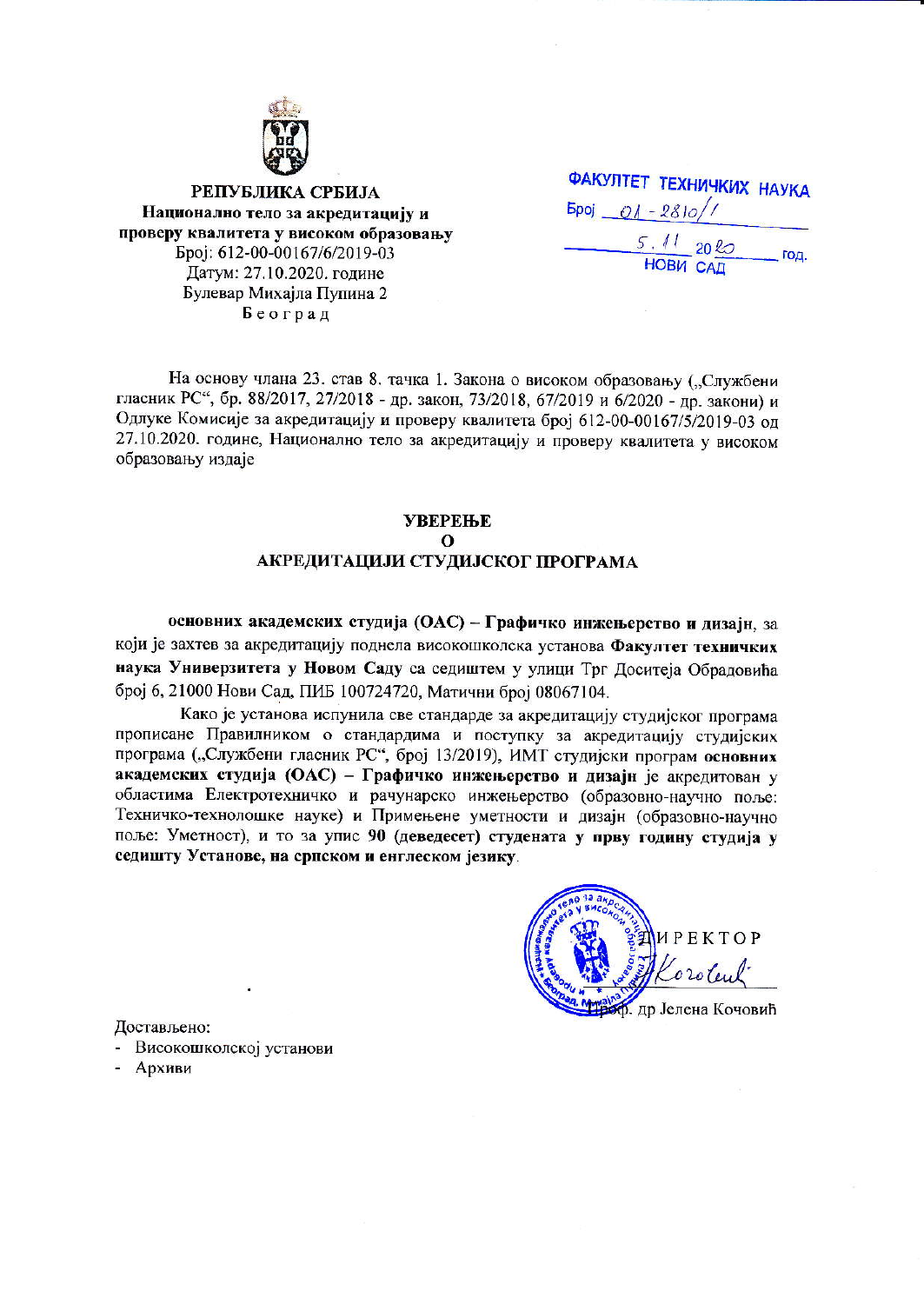

РЕПУБЛИКА СРБИЈА Национално тело за акредитацију и проверу квалитета у високом образовању Epoj: 612-00-00167/6/2019-03 Датум: 27.10.2020. године Булевар Михајла Пупина 2 Београд

|                      |                                     | <b>ФАКУЛТЕТ ТЕХНИЧКИХ НАУКА</b> |      |
|----------------------|-------------------------------------|---------------------------------|------|
| $5poj$ $01 - 281o/7$ |                                     |                                 |      |
|                      | $\frac{5.11}{HOBM}$ $20\frac{R}{R}$ |                                 | год. |
|                      |                                     |                                 |      |

На основу члана 23. став 8. тачка 1. Закона о високом образовању ("Службени гласник РС", бр. 88/2017, 27/2018 - др. закон, 73/2018, 67/2019 и 6/2020 - др. закони) и Одлуке Комисије за акредитацију и проверу квалитета број 612-00-00167/5/2019-03 од 27.10.2020. године, Национално тело за акредитацију и проверу квалитета у високом образовању издаје

# **УВЕРЕЊЕ**  $\Omega$ АКРЕДИТАЦИЈИ СТУДИЈСКОГ ПРОГРАМА

основних академских студија (ОАС) - Графичко инжењерство и лизаји, за који је захтев за акредитацију поднела високошколска установа Факултет техничких наука Универзитета у Новом Саду са седиштем у улици Трг Доситеја Обрадовића број 6, 21000 Нови Сад, ПИБ 100724720, Матични број 08067104.

Како је установа испунила све стандарде за акредитацију студијског програма прописане Правилником о стандардима и поступку за акредитацију студијских програма ("Службени гласник РС", број 13/2019), ИМТ студијски програм основних академских студија (ОАС) - Графичко инжењерство и дизајн је акредитован у областима Електротехничко и рачунарско инжењерство (образовно-научно поље: Техничко-технолошке науке) и Примењене уметности и дизајн (образовно-научно поље: Уметност), и то за упис 90 (деведесет) студената у прву годину студија у седишту Установе, на српском и енглеском језику.

ИРЕКТОР  $020$ ler лр Јелена Кочовић

Достављено:

- Високошколској установи
- Архиви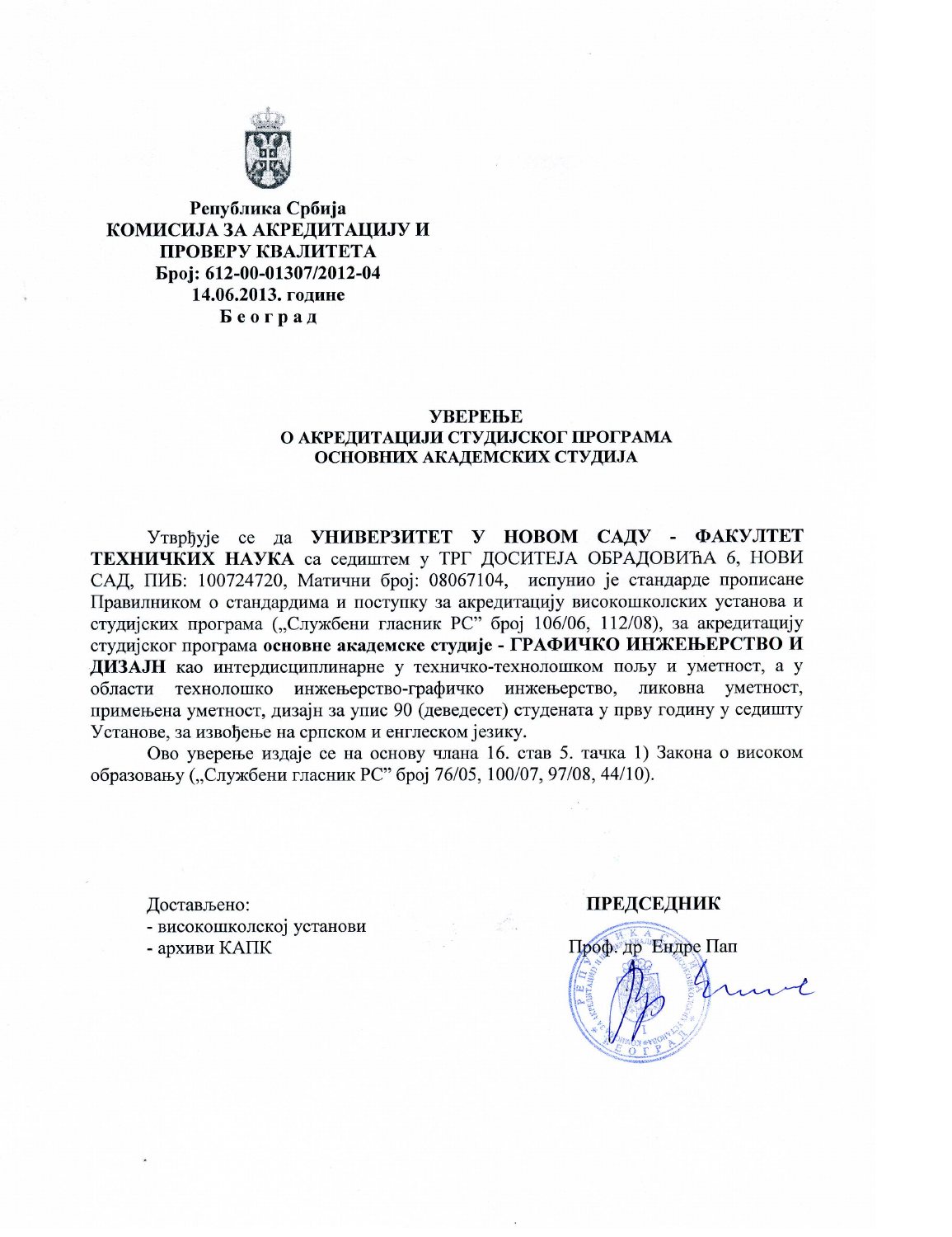

Република Србија КОМИСИЈА ЗА АКРЕДИТАЦИЈУ И ПРОВЕРУ КВАЛИТЕТА Epoi: 612-00-01307/2012-04 14.06.2013. године Београд

#### **УВЕРЕЊЕ** О АКРЕЛИТАЦИЈИ СТУДИЈСКОГ ПРОГРАМА ОСНОВНИХ АКАДЕМСКИХ СТУДИЈА

Утврђује се да УНИВЕРЗИТЕТ У НОВОМ САДУ - ФАКУЛТЕТ ТЕХНИЧКИХ НАУКА са седиштем у ТРГ ДОСИТЕЈА ОБРАДОВИЋА 6, НОВИ САД, ПИБ: 100724720, Матични број: 08067104, испунио је стандарде прописане Правилником о стандардима и поступку за акредитацију високошколских установа и студијских програма ("Службени гласник РС" број 106/06, 112/08), за акредитацију студијског програма основне академске студије - ГРАФИЧКО ИНЖЕЊЕРСТВО И ДИЗАЈН као интердисциплинарне у техничко-технолошком пољу и уметност, а у области технолошко инжењерство-графичко инжењерство, ликовна уметност, примењена уметност, дизајн за упис 90 (деведесет) студената у прву годину у седишту Установе, за извођење на српском и енглеском језику.

Ово уверење издаје се на основу члана 16. став 5. тачка 1) Закона о високом образовању ("Службени гласник РС" број 76/05, 100/07, 97/08, 44/10).

Достављено: - високошколској установи - архиви КАПК

#### **ПРЕДСЕДНИК**

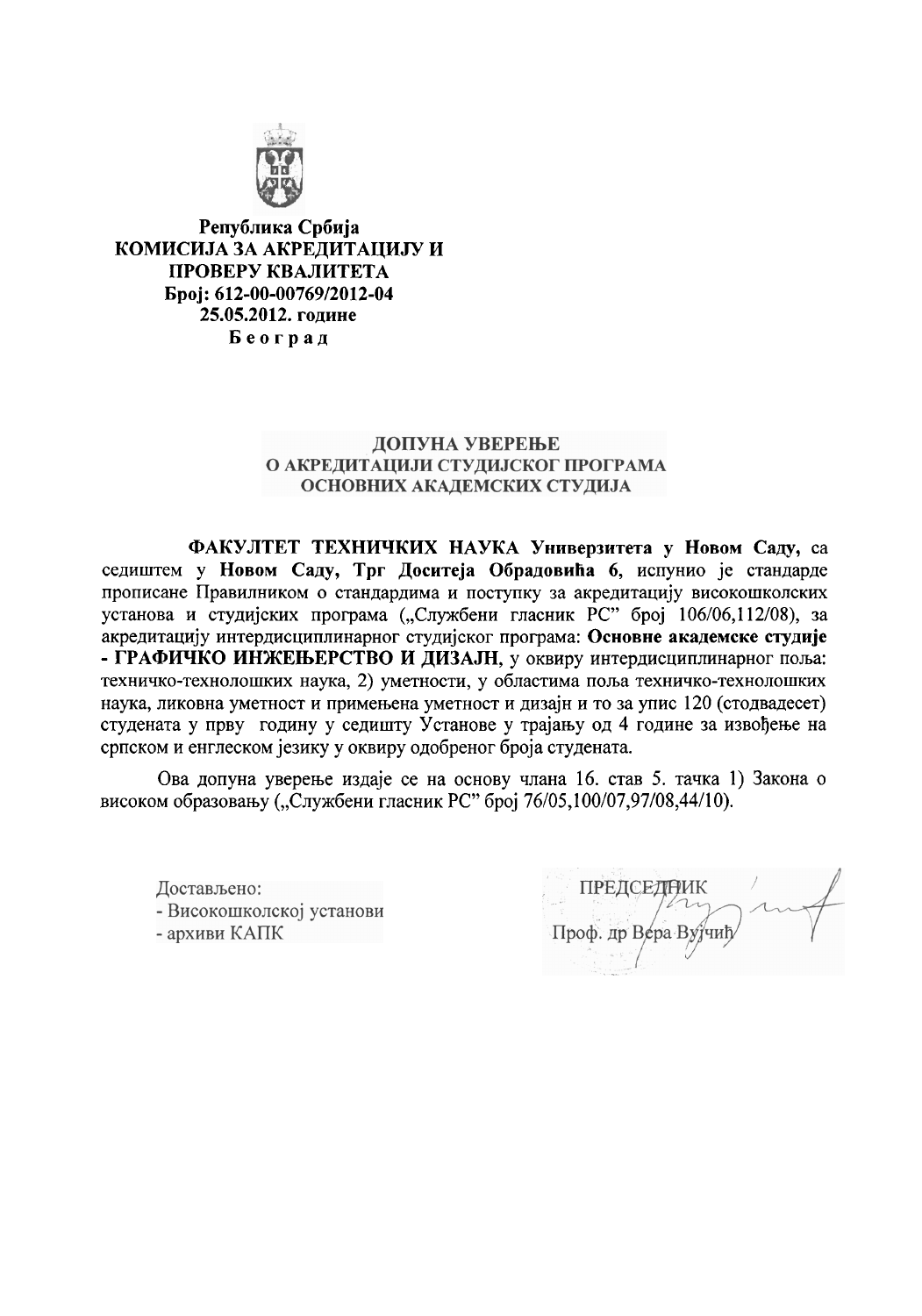

Република Србија КОМИСИЈА ЗА АКРЕДИТАЦИЈУ И ПРОВЕРУ КВАЛИТЕТА Број: 612-00-00769/2012-04 25.05.2012. године Београд

## ДОПУНА УВЕРЕЊЕ О АКРЕДИТАЦИЈИ СТУДИЈСКОГ ПРОГРАМА ОСНОВНИХ АКАДЕМСКИХ СТУДИЈА

ФАКУЛТЕТ ТЕХНИЧКИХ НАУКА Универзитета у Новом Саду, са седиштем у Новом Саду, Трг Доситеја Обрадовића 6, испунио је стандарде прописане Правилником о стандардима и поступку за акредитацију високошколских установа и студијских програма ("Службени гласник РС" број 106/06,112/08), за акредитацију интердисциплинарног студијског програма: Основне академске студије - ГРАФИЧКО ИНЖЕЊЕРСТВО И ДИЗАЈН, у оквиру интердисциплинарног поља: техничко-технолошких наука, 2) уметности, у областима поља техничко-технолошких наука, ликовна уметност и примењена уметност и дизајн и то за упис 120 (стодвадесет) студената у прву годину у седишту Установе у трајању од 4 године за извођење на српском и енглеском језику у оквиру одобреног броја студената.

Ова допуна уверење издаје се на основу члана 16. став 5. тачка 1) Закона о високом образовању ("Службени гласник РС" број 76/05,100/07,97/08,44/10).

Достављено: - Високошколској установи - архиви КАПК

ПРЕДСЕДНИК Проф. др Вера Вујчиг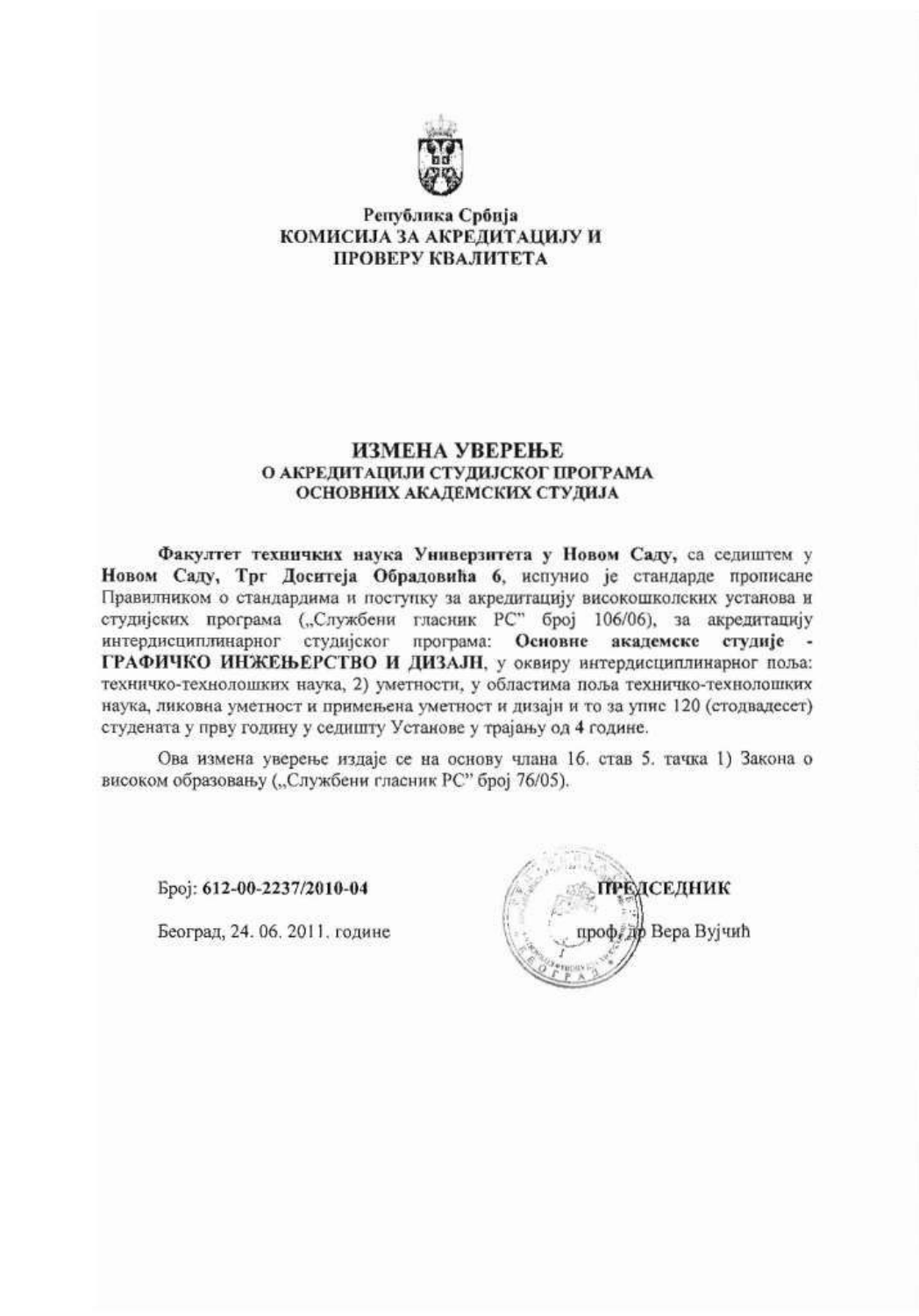

#### Република Србија КОМИСИЈА ЗА АКРЕДИТАЦИЈУ И ПРОВЕРУ КВАЛИТЕТА

#### ИЗМЕНА УВЕРЕЊЕ О АКРЕДИТАЦИЈИ СТУДИЈСКОГ ПРОГРАМА ОСНОВНИХ АКАДЕМСКИХ СТУДИЈА

Факултет техничких наука Универзитета у Новом Саду, са седиштем у Новом Саду, Трг Доситеја Обрадовића 6, испунио је стандарде прописане Правилником о стандардима и поступку за акредитацију високошколских установа и студијских програма ("Службени гласник РС" број 106/06), за акредитацију интердисциплинарног студијског програма: Основне академске студије ГРАФИЧКО ИНЖЕЊЕРСТВО И ДИЗАЈН, у оквиру интердисциплинарног поља: техничко-технолошких наука, 2) уметности, у областима поља техничко-технолошких наука, ликовна уметност и примењена уметност и дизајн и то за упис 120 (стодвадесет) студената у прву годину у седишту Установе у трајању од 4 године.

Ова измена уверење издаје се на основу члана 16. став 5. тачка 1) Закона о високом образовању ("Службени гласник РС" број 76/05).

Epoj: 612-00-2237/2010-04

Београд, 24. 06. 2011. године

РЕДСЕДНИК Вера Вујчић